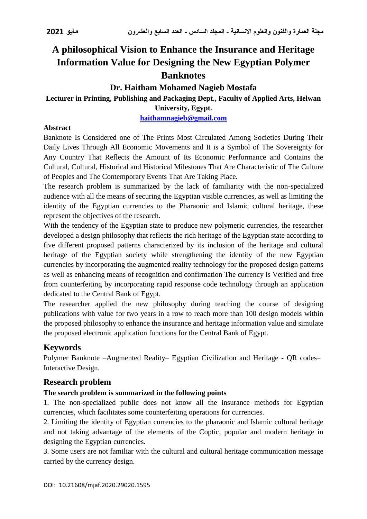# **A philosophical Vision to Enhance the Insurance and Heritage Information Value for Designing the New Egyptian Polymer Banknotes**

## **Dr. Haitham Mohamed Nagieb Mostafa**

## **Lecturer in Printing, Publishing and Packaging Dept., Faculty of Applied Arts, Helwan**

**University, Egypt.**

**[haithamnagieb@gmail.com](mailto:haithamnagieb@gmail.com)**

### **Abstract**

Banknote Is Considered one of The Prints Most Circulated Among Societies During Their Daily Lives Through All Economic Movements and It is a Symbol of The Sovereignty for Any Country That Reflects the Amount of Its Economic Performance and Contains the Cultural, Cultural, Historical and Historical Milestones That Are Characteristic of The Culture of Peoples and The Contemporary Events That Are Taking Place.

The research problem is summarized by the lack of familiarity with the non-specialized audience with all the means of securing the Egyptian visible currencies, as well as limiting the identity of the Egyptian currencies to the Pharaonic and Islamic cultural heritage, these represent the objectives of the research.

With the tendency of the Egyptian state to produce new polymeric currencies, the researcher developed a design philosophy that reflects the rich heritage of the Egyptian state according to five different proposed patterns characterized by its inclusion of the heritage and cultural heritage of the Egyptian society while strengthening the identity of the new Egyptian currencies by incorporating the augmented reality technology for the proposed design patterns as well as enhancing means of recognition and confirmation The currency is Verified and free from counterfeiting by incorporating rapid response code technology through an application dedicated to the Central Bank of Egypt.

The researcher applied the new philosophy during teaching the course of designing publications with value for two years in a row to reach more than 100 design models within the proposed philosophy to enhance the insurance and heritage information value and simulate the proposed electronic application functions for the Central Bank of Egypt.

## **Keywords**

Polymer Banknote –Augmented Reality– Egyptian Civilization and Heritage - QR codes– Interactive Design.

## **Research problem**

### **The search problem is summarized in the following points**

1. The non-specialized public does not know all the insurance methods for Egyptian currencies, which facilitates some counterfeiting operations for currencies.

2. Limiting the identity of Egyptian currencies to the pharaonic and Islamic cultural heritage and not taking advantage of the elements of the Coptic, popular and modern heritage in designing the Egyptian currencies.

3. Some users are not familiar with the cultural and cultural heritage communication message carried by the currency design.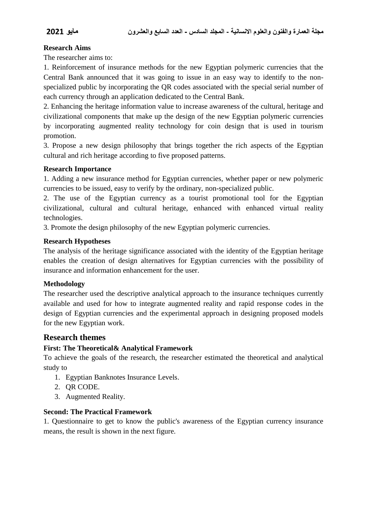#### **Research Aims**

The researcher aims to:

1. Reinforcement of insurance methods for the new Egyptian polymeric currencies that the Central Bank announced that it was going to issue in an easy way to identify to the nonspecialized public by incorporating the QR codes associated with the special serial number of each currency through an application dedicated to the Central Bank.

2. Enhancing the heritage information value to increase awareness of the cultural, heritage and civilizational components that make up the design of the new Egyptian polymeric currencies by incorporating augmented reality technology for coin design that is used in tourism promotion.

3. Propose a new design philosophy that brings together the rich aspects of the Egyptian cultural and rich heritage according to five proposed patterns.

#### **Research Importance**

1. Adding a new insurance method for Egyptian currencies, whether paper or new polymeric currencies to be issued, easy to verify by the ordinary, non-specialized public.

2. The use of the Egyptian currency as a tourist promotional tool for the Egyptian civilizational, cultural and cultural heritage, enhanced with enhanced virtual reality technologies.

3. Promote the design philosophy of the new Egyptian polymeric currencies.

#### **Research Hypotheses**

The analysis of the heritage significance associated with the identity of the Egyptian heritage enables the creation of design alternatives for Egyptian currencies with the possibility of insurance and information enhancement for the user.

#### **Methodology**

The researcher used the descriptive analytical approach to the insurance techniques currently available and used for how to integrate augmented reality and rapid response codes in the design of Egyptian currencies and the experimental approach in designing proposed models for the new Egyptian work.

#### **Research themes**

#### **First: The Theoretical& Analytical Framework**

To achieve the goals of the research, the researcher estimated the theoretical and analytical study to

- 1. Egyptian Banknotes Insurance Levels.
- 2. QR CODE.
- 3. Augmented Reality.

#### **Second: The Practical Framework**

1. Questionnaire to get to know the public's awareness of the Egyptian currency insurance means, the result is shown in the next figure.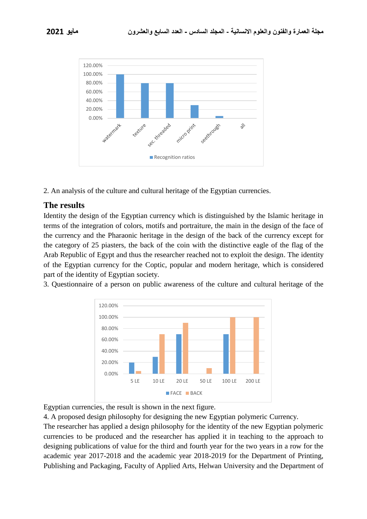



2. An analysis of the culture and cultural heritage of the Egyptian currencies.

## **The results**

Identity the design of the Egyptian currency which is distinguished by the Islamic heritage in terms of the integration of colors, motifs and portraiture, the main in the design of the face of the currency and the Pharaonic heritage in the design of the back of the currency except for the category of 25 piasters, the back of the coin with the distinctive eagle of the flag of the Arab Republic of Egypt and thus the researcher reached not to exploit the design. The identity of the Egyptian currency for the Coptic, popular and modern heritage, which is considered part of the identity of Egyptian society.

3. Questionnaire of a person on public awareness of the culture and cultural heritage of the



Egyptian currencies, the result is shown in the next figure.

4. A proposed design philosophy for designing the new Egyptian polymeric Currency.

The researcher has applied a design philosophy for the identity of the new Egyptian polymeric currencies to be produced and the researcher has applied it in teaching to the approach to designing publications of value for the third and fourth year for the two years in a row for the academic year 2017-2018 and the academic year 2018-2019 for the Department of Printing, Publishing and Packaging, Faculty of Applied Arts, Helwan University and the Department of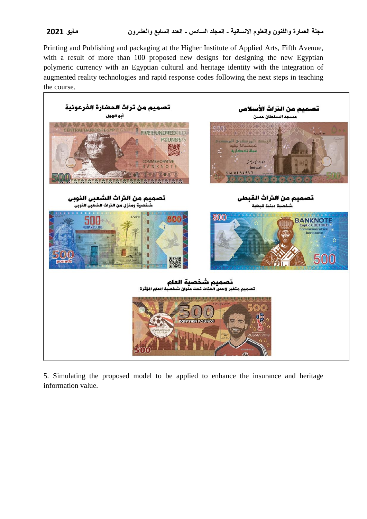Printing and Publishing and packaging at the Higher Institute of Applied Arts, Fifth Avenue, with a result of more than 100 proposed new designs for designing the new Egyptian polymeric currency with an Egyptian cultural and heritage identity with the integration of augmented reality technologies and rapid response codes following the next steps in teaching the course.



5. Simulating the proposed model to be applied to enhance the insurance and heritage information value.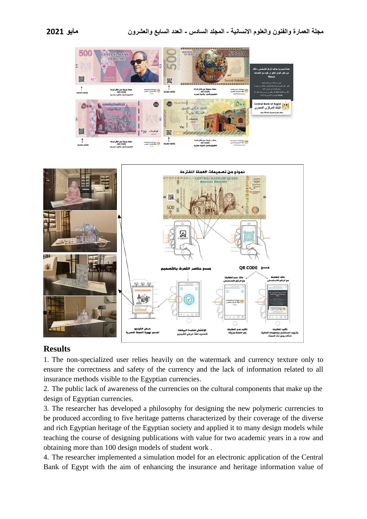



### **Results**

1. The non-specialized user relies heavily on the watermark and currency texture only to ensure the correctness and safety of the currency and the lack of information related to all insurance methods visible to the Egyptian currencies.

2. The public lack of awareness of the currencies on the cultural components that make up the design of Egyptian currencies.

3. The researcher has developed a philosophy for designing the new polymeric currencies to be produced according to five heritage patterns characterized by their coverage of the diverse and rich Egyptian heritage of the Egyptian society and applied it to many design models while teaching the course of designing publications with value for two academic years in a row and obtaining more than 100 design models of student work .

4. The researcher implemented a simulation model for an electronic application of the Central Bank of Egypt with the aim of enhancing the insurance and heritage information value of